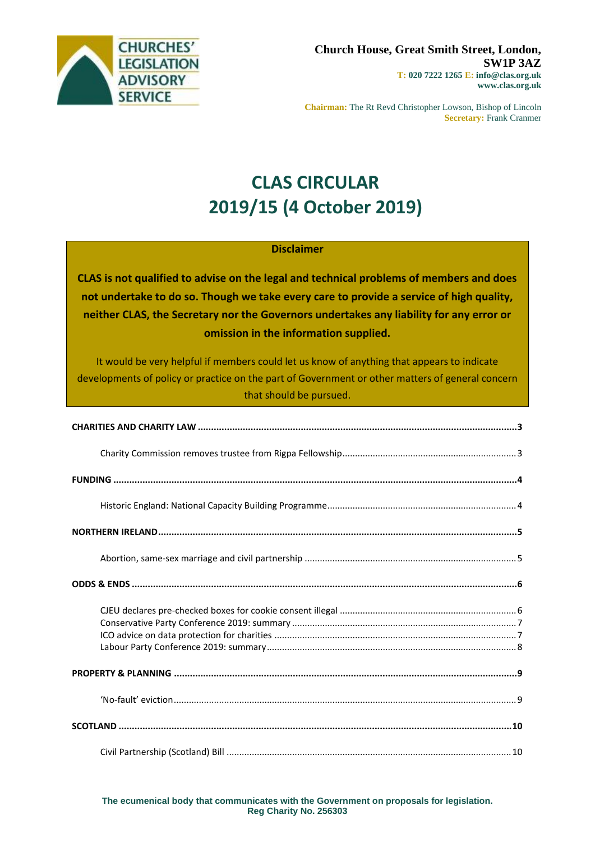

**Chairman:** The Rt Revd Christopher Lowson, Bishop of Lincoln **Secretary:** Frank Cranmer

# **CLAS CIRCULAR 2019/15 (4 October 2019)**

### **Disclaimer**

**CLAS is not qualified to advise on the legal and technical problems of members and does not undertake to do so. Though we take every care to provide a service of high quality, neither CLAS, the Secretary nor the Governors undertakes any liability for any error or omission in the information supplied.**

It would be very helpful if members could let us know of anything that appears to indicate developments of policy or practice on the part of Government or other matters of general concern that should be pursued.

**The ecumenical body that communicates with the Government on proposals for legislation. Reg Charity No. 256303**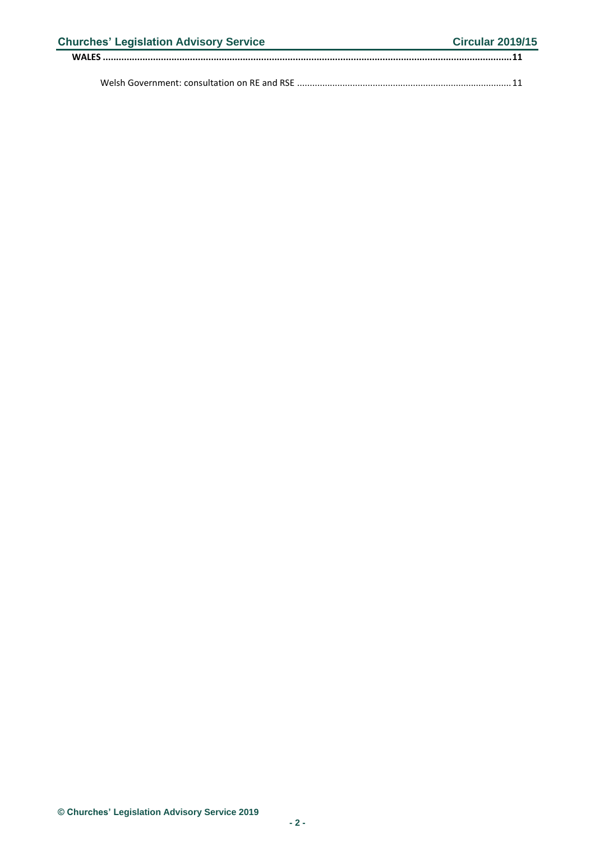| <b>Churches' Legislation Advisory Service</b> | <b>Circular 2019/15</b> |
|-----------------------------------------------|-------------------------|
|                                               |                         |
|                                               |                         |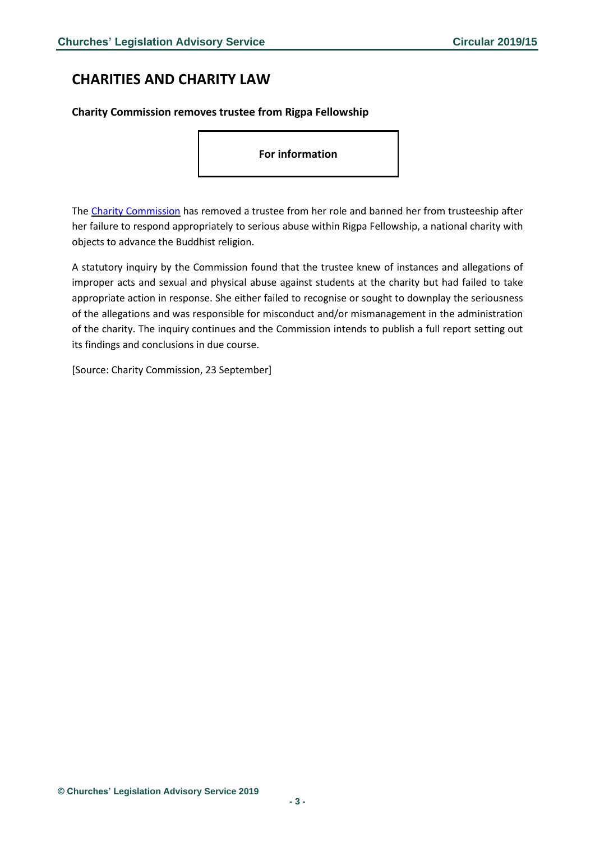# <span id="page-2-0"></span>**CHARITIES AND CHARITY LAW**

<span id="page-2-1"></span>**Charity Commission removes trustee from Rigpa Fellowship**

**For information**

The Charity [Commission](https://www.gov.uk/government/news/charity-regulator-removes-trustee-from-rigpa-fellowship?utm_source=3b450deb-5d05-412c-ac58-af4336e2016b&utm_medium=email&utm_campaign=govuk-notifications&utm_content=daily) has removed a trustee from her role and banned her from trusteeship after her failure to respond appropriately to serious abuse within Rigpa Fellowship, a national charity with objects to advance the Buddhist religion.

A statutory inquiry by the Commission found that the trustee knew of instances and allegations of improper acts and sexual and physical abuse against students at the charity but had failed to take appropriate action in response. She either failed to recognise or sought to downplay the seriousness of the allegations and was responsible for misconduct and/or mismanagement in the administration of the charity. The inquiry continues and the Commission intends to publish a full report setting out its findings and conclusions in due course.

[Source: Charity Commission, 23 September]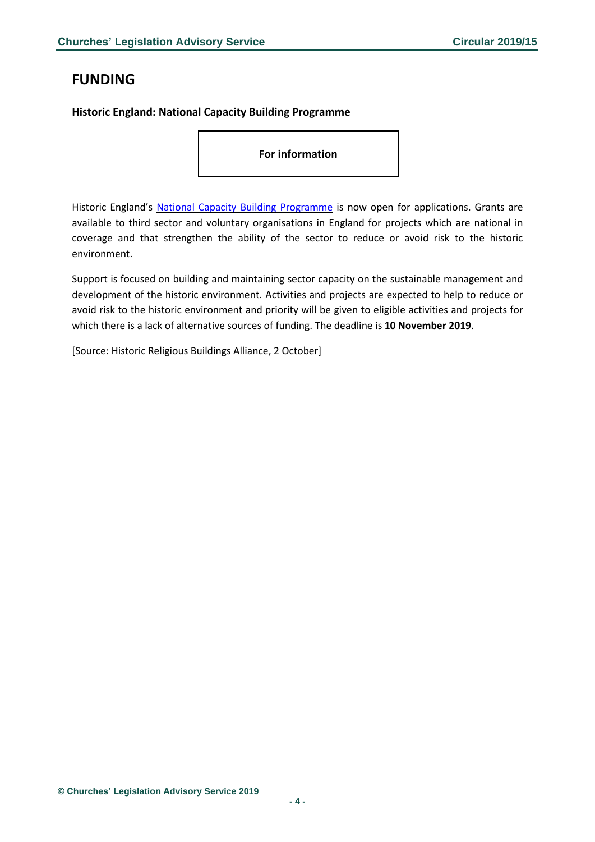# <span id="page-3-0"></span>**FUNDING**

### <span id="page-3-1"></span>**Historic England: National Capacity Building Programme**

**For information**

Historic England's National Capacity Building [Programme](https://historicengland.org.uk/services-skills/grants/our-grant-schemes/national-capacity-grants/) is now open for applications. Grants are available to third sector and voluntary organisations in England for projects which are national in coverage and that strengthen the ability of the sector to reduce or avoid risk to the historic environment.

Support is focused on building and maintaining sector capacity on the sustainable management and development of the historic environment. Activities and projects are expected to help to reduce or avoid risk to the historic environment and priority will be given to eligible activities and projects for which there is a lack of alternative sources of funding. The deadline is **10 November 2019**.

[Source: Historic Religious Buildings Alliance, 2 October]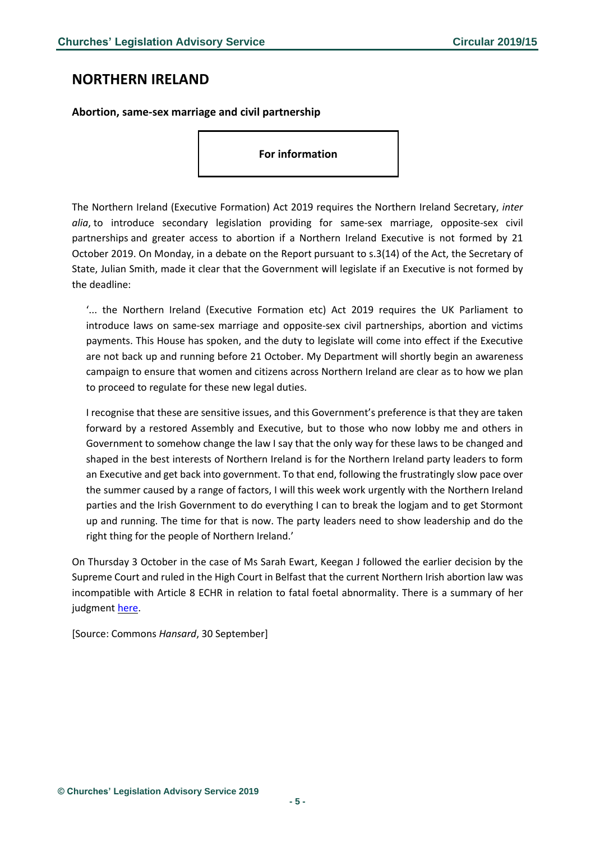### <span id="page-4-0"></span>**NORTHERN IRELAND**

<span id="page-4-1"></span>**Abortion, same-sex marriage and civil partnership**

### **For information**

The Northern Ireland (Executive Formation) Act 2019 requires the Northern Ireland Secretary, *inter alia*, to introduce secondary legislation providing for same-sex marriage, opposite-sex civil partnerships and greater access to abortion if a Northern Ireland Executive is not formed by 21 October 2019. On Monday, in a debate on the Report pursuant to s.3(14) of the Act, the Secretary of State, Julian Smith, made it clear that the Government will legislate if an Executive is not formed by the deadline:

'... the Northern Ireland (Executive Formation etc) Act 2019 requires the UK Parliament to introduce laws on same-sex marriage and opposite-sex civil partnerships, abortion and victims payments. This House has spoken, and the duty to legislate will come into effect if the Executive are not back up and running before 21 October. My Department will shortly begin an awareness campaign to ensure that women and citizens across Northern Ireland are clear as to how we plan to proceed to regulate for these new legal duties.

I recognise that these are sensitive issues, and this Government's preference is that they are taken forward by a restored Assembly and Executive, but to those who now lobby me and others in Government to somehow change the law I say that the only way for these laws to be changed and shaped in the best interests of Northern Ireland is for the Northern Ireland party leaders to form an Executive and get back into government. To that end, following the frustratingly slow pace over the summer caused by a range of factors, I will this week work urgently with the Northern Ireland parties and the Irish Government to do everything I can to break the logjam and to get Stormont up and running. The time for that is now. The party leaders need to show leadership and do the right thing for the people of Northern Ireland.'

On Thursday 3 October in the case of Ms Sarah Ewart, Keegan J followed the earlier decision by the Supreme Court and ruled in the High Court in Belfast that the current Northern Irish abortion law was incompatible with Article 8 ECHR in relation to fatal foetal abnormality. There is a summary of her judgment [here.](https://judiciaryni.uk/sites/judiciary/files/decisions/Summary%20of%20judgment%20-%20Court%20Delivers%20Abortion%20Legislation%20Judgment.pdf)

[Source: Commons *Hansard*, 30 September]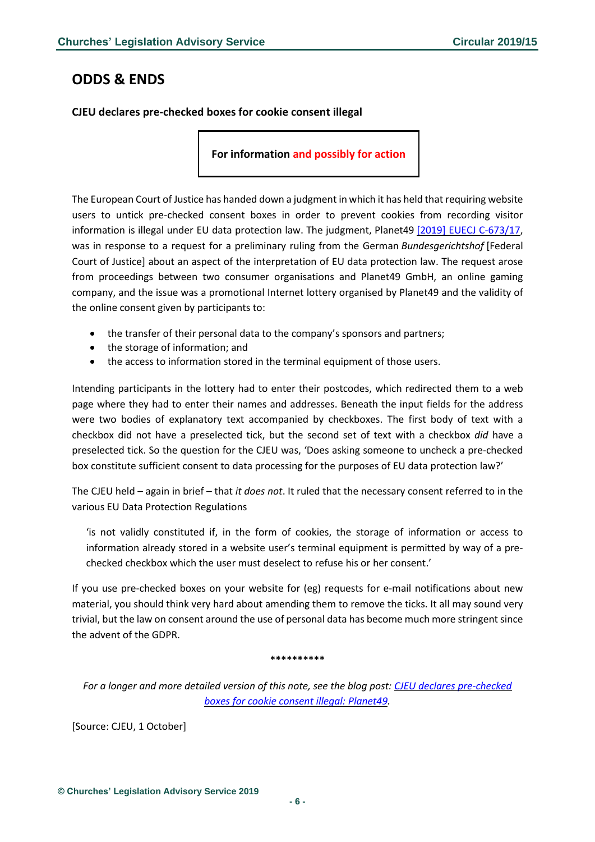# <span id="page-5-0"></span>**ODDS & ENDS**

<span id="page-5-1"></span>**CJEU declares pre-checked boxes for cookie consent illegal** 

**For information and possibly for action**

The European Court of Justice has handed down a judgment in which it has held that requiring website users to untick pre-checked consent boxes in order to prevent cookies from recording visitor information is illegal under EU data protection law. The judgment, Planet49 [2019] EUECJ [C-673/17,](http://curia.europa.eu/juris/document/document.jsf?docid=218462&mode=req&pageIndex=1&dir=&occ=first&part=1&text=&doclang=EN&cid=1593258) was in response to a request for a preliminary ruling from the German *Bundesgerichtshof* [Federal Court of Justice] about an aspect of the interpretation of EU data protection law. The request arose from proceedings between two consumer organisations and Planet49 GmbH, an online gaming company, and the issue was a promotional Internet lottery organised by Planet49 and the validity of the online consent given by participants to:

- the transfer of their personal data to the company's sponsors and partners;
- the storage of information; and
- the access to information stored in the terminal equipment of those users.

Intending participants in the lottery had to enter their postcodes, which redirected them to a web page where they had to enter their names and addresses. Beneath the input fields for the address were two bodies of explanatory text accompanied by checkboxes. The first body of text with a checkbox did not have a preselected tick, but the second set of text with a checkbox *did* have a preselected tick. So the question for the CJEU was, 'Does asking someone to uncheck a pre-checked box constitute sufficient consent to data processing for the purposes of EU data protection law?'

The CJEU held – again in brief – that *it does not*. It ruled that the necessary consent referred to in the various EU Data Protection Regulations

'is not validly constituted if, in the form of cookies, the storage of information or access to information already stored in a website user's terminal equipment is permitted by way of a prechecked checkbox which the user must deselect to refuse his or her consent.'

If you use pre-checked boxes on your website for (eg) requests for e-mail notifications about new material, you should think very hard about amending them to remove the ticks. It all may sound very trivial, but the law on consent around the use of personal data has become much more stringent since the advent of the GDPR.

#### **\*\*\*\*\*\*\*\*\*\***

*For a longer and more detailed version of this note, see the blog post: CJEU declares [pre-checked](http://www.lawandreligionuk.com/2019/10/02/cjeu-declares-pre-checked-boxes-for-cookie-consent-illegal-planet49/) boxes for cookie consent illegal: [Planet49.](http://www.lawandreligionuk.com/2019/10/02/cjeu-declares-pre-checked-boxes-for-cookie-consent-illegal-planet49/)*

[Source: CJEU, 1 October]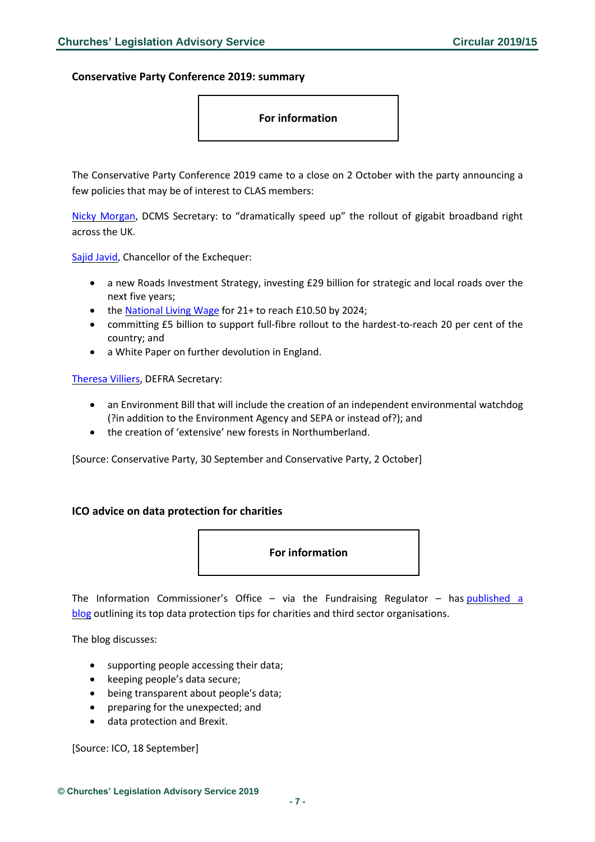<span id="page-6-0"></span>**Conservative Party Conference 2019: summary**

**For information**

The Conservative Party Conference 2019 came to a close on 2 October with the party announcing a few policies that may be of interest to CLAS members:

Nicky [Morgan,](https://press.conservatives.com/post/188044636650/nicky-morgan-speech-to-conservative-party) DCMS Secretary: to "dramatically speed up" the rollout of gigabit broadband right across the UK.

Sajid [Javid,](https://press.conservatives.com/post/188044372850/chancellor-speech-to-conservative-party) Chancellor of the Exchequer:

- a new Roads Investment Strategy, investing £29 billion for strategic and local roads over the next five years;
- the [National](https://press.conservatives.com/post/188062105610/chancellor-sets-out-plan-to-end-low-pay-in-the-uk) Living Wage for 21+ to reach £10.50 by 2024;
- committing £5 billion to support full-fibre rollout to the hardest-to-reach 20 per cent of the country; and
- a White Paper on further devolution in England.

[Theresa](https://press.conservatives.com/post/188044359665/theresa-villiers-speech-to-conservative-party) Villiers, DEFRA Secretary:

- an Environment Bill that will include the creation of an independent environmental watchdog (?in addition to the Environment Agency and SEPA or instead of?); and
- the creation of 'extensive' new forests in Northumberland.

[Source: Conservative Party, 30 September and Conservative Party, 2 October]

### <span id="page-6-1"></span>**ICO advice on data protection for charities**



The Information Commissioner's Office – via the Fundraising Regulator – has [published](https://www.fundraisingregulator.org.uk/more-from-us/news/ico-data-protection-5-ways-build-supporter-trust?utm_source=Bates%20Wells%20Braithwaite&utm_medium=email&utm_campaign=10909101_Briefing%2023.09.2019&dm_i=1Y95,6HTIL,EQ23A5,PS7JI,1) a [blog](https://www.fundraisingregulator.org.uk/more-from-us/news/ico-data-protection-5-ways-build-supporter-trust?utm_source=Bates%20Wells%20Braithwaite&utm_medium=email&utm_campaign=10909101_Briefing%2023.09.2019&dm_i=1Y95,6HTIL,EQ23A5,PS7JI,1) outlining its top data protection tips for charities and third sector organisations.

The blog discusses:

- supporting people accessing their data;
- keeping people's data secure;
- being transparent about people's data;
- preparing for the unexpected; and
- data protection and Brexit.

[Source: ICO, 18 September]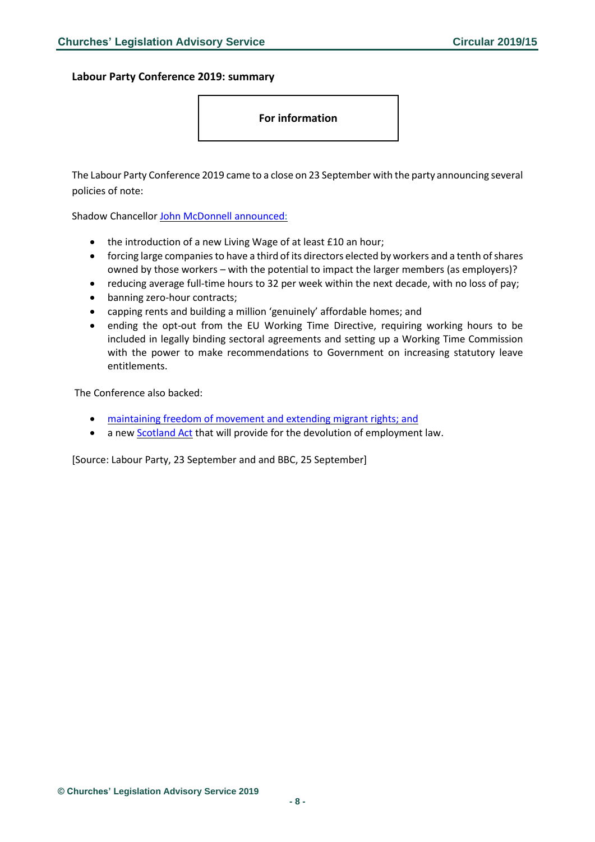<span id="page-7-0"></span>**Labour Party Conference 2019: summary**

**For information**

The Labour Party Conference 2019 came to a close on 23 September with the party announcing several policies of note:

Shadow Chancellor John McDonnell [announced:](https://labour.org.uk/press/john-mcdonnell-speaking-labour-party-conference/)

- the introduction of a new Living Wage of at least £10 an hour;
- forcing large companies to have a third of its directors elected by workers and a tenth of shares owned by those workers – with the potential to impact the larger members (as employers)?
- reducing average full-time hours to 32 per week within the next decade, with no loss of pay;
- banning zero-hour contracts;
- capping rents and building a million 'genuinely' affordable homes; and
- ending the opt-out from the EU Working Time Directive, requiring working hours to be included in legally binding sectoral agreements and setting up a Working Time Commission with the power to make recommendations to Government on increasing statutory leave entitlements.

The Conference also backed:

- [maintaining](https://www.bbc.co.uk/news/uk-politics-49827795) freedom of movement and extending migrant rights; and
- a new [Scotland](https://labour.org.uk/press/richard-leonard-speaking-labour-party-conference/) Act that will provide for the devolution of employment law.

[Source: Labour Party, 23 September and and BBC, 25 September]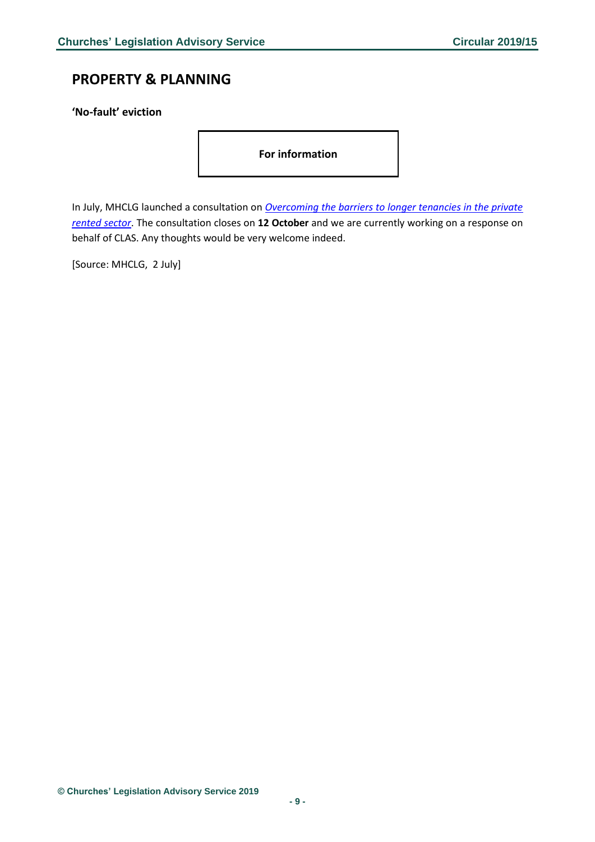# <span id="page-8-0"></span>**PROPERTY & PLANNING**

<span id="page-8-1"></span>**'No-fault' eviction**

**For information** 

In July, MHCLG launched a consultation on *[Overcoming the barriers to longer tenancies in the private](https://www.gov.uk/government/consultations/overcoming-the-barriers-to-longer-tenancies-in-the-private-rented-sector)  [rented sector](https://www.gov.uk/government/consultations/overcoming-the-barriers-to-longer-tenancies-in-the-private-rented-sector)*. The consultation closes on **12 October** and we are currently working on a response on behalf of CLAS. Any thoughts would be very welcome indeed.

[Source: MHCLG, 2 July]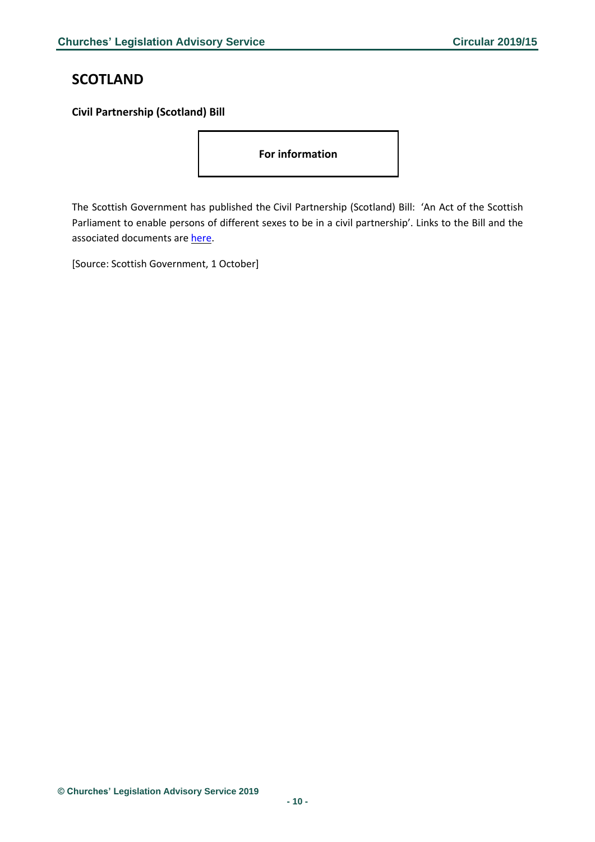# <span id="page-9-0"></span>**SCOTLAND**

### <span id="page-9-1"></span>**Civil Partnership (Scotland) Bill**

**For information** 

The Scottish Government has published the Civil Partnership (Scotland) Bill: 'An Act of the Scottish Parliament to enable persons of different sexes to be in a civil partnership'. Links to the Bill and the associated documents are [here.](https://www.parliament.scot/parliamentarybusiness/Bills/112997.aspx)

[Source: Scottish Government, 1 October]